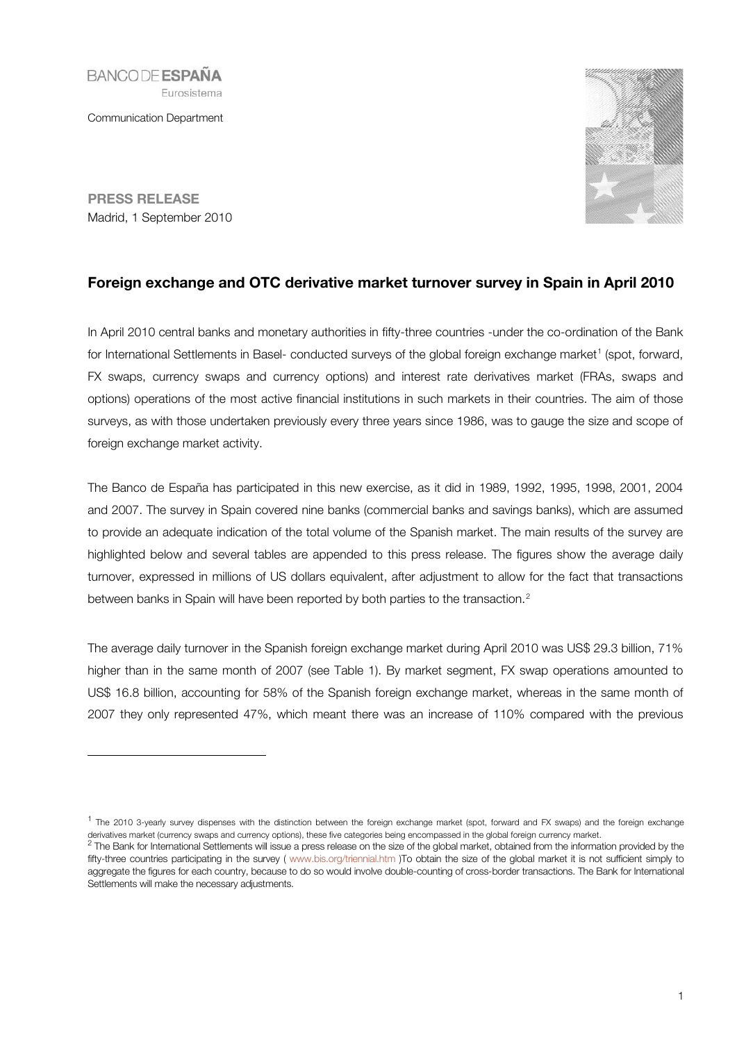**BANCODE ESPAÑA** Eurosistema

Communication Department



PRESS RELEASE Madrid, 1 September 2010

-

# Foreign exchange and OTC derivative market turnover survey in Spain in April 2010

In April 2010 central banks and monetary authorities in fifty-three countries -under the co-ordination of the Bank for International Settlements in Basel- conducted surveys of the global foreign exchange market<sup>[1](#page-0-0)</sup> (spot, forward, FX swaps, currency swaps and currency options) and interest rate derivatives market (FRAs, swaps and options) operations of the most active financial institutions in such markets in their countries. The aim of those surveys, as with those undertaken previously every three years since 1986, was to gauge the size and scope of foreign exchange market activity.

The Banco de España has participated in this new exercise, as it did in 1989, 1992, 1995, 1998, 2001, 2004 and 2007. The survey in Spain covered nine banks (commercial banks and savings banks), which are assumed to provide an adequate indication of the total volume of the Spanish market. The main results of the survey are highlighted below and several tables are appended to this press release. The figures show the average daily turnover, expressed in millions of US dollars equivalent, after adjustment to allow for the fact that transactions between banks in Spain will have been reported by both parties to the transaction.<sup>[2](#page-0-1)</sup>

The average daily turnover in the Spanish foreign exchange market during April 2010 was US\$ 29.3 billion, 71% higher than in the same month of 2007 (see Table 1). By market segment, FX swap operations amounted to US\$ 16.8 billion, accounting for 58% of the Spanish foreign exchange market, whereas in the same month of 2007 they only represented 47%, which meant there was an increase of 110% compared with the previous

<span id="page-0-0"></span><sup>&</sup>lt;sup>1</sup> The 2010 3-yearly survey dispenses with the distinction between the foreign exchange market (spot, forward and FX swaps) and the foreign exchange derivatives market (currency swaps and currency options), these five categories being encompassed in the global foreign currency market.

<span id="page-0-1"></span><sup>&</sup>lt;sup>2</sup> The Bank for International Settlements will issue a press release on the size of the global market, obtained from the information provided by the fifty-three countries participating in the survey ( [www.bis.org/triennial.htm](http://www.bis.org/triennial.htm) )To obtain the size of the global market it is not sufficient simply to aggregate the figures for each country, because to do so would involve double-counting of cross-border transactions. The Bank for International Settlements will make the necessary adjustments.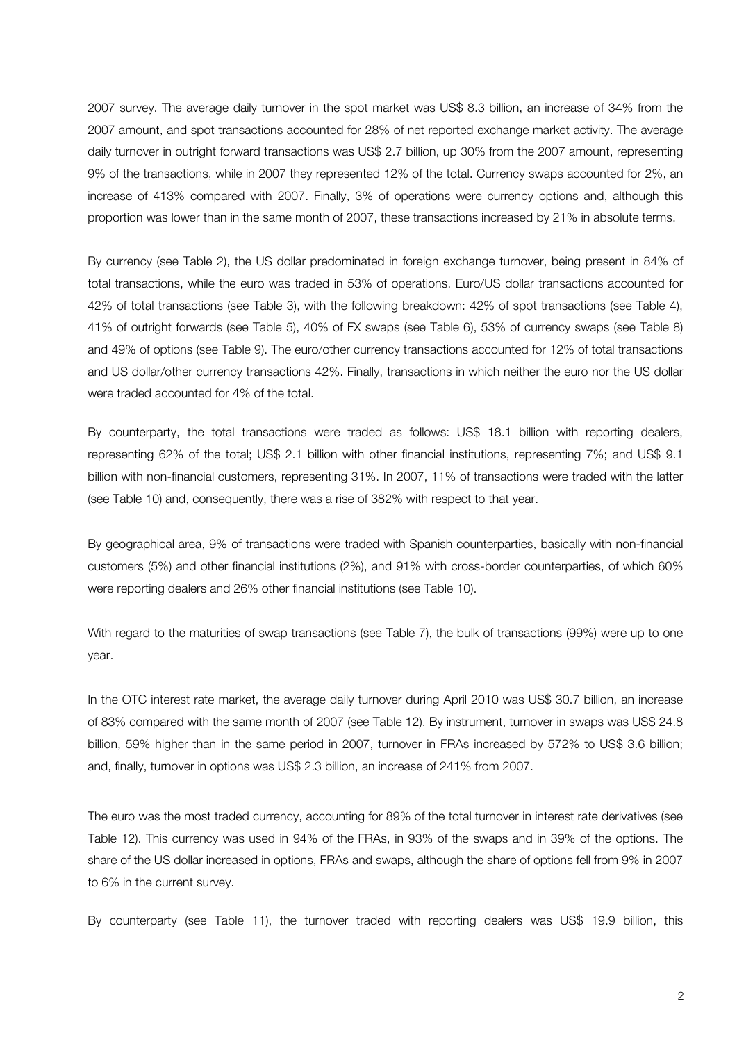2007 survey. The average daily turnover in the spot market was US\$ 8.3 billion, an increase of 34% from the 2007 amount, and spot transactions accounted for 28% of net reported exchange market activity. The average daily turnover in outright forward transactions was US\$ 2.7 billion, up 30% from the 2007 amount, representing 9% of the transactions, while in 2007 they represented 12% of the total. Currency swaps accounted for 2%, an increase of 413% compared with 2007. Finally, 3% of operations were currency options and, although this proportion was lower than in the same month of 2007, these transactions increased by 21% in absolute terms.

By currency (see Table 2), the US dollar predominated in foreign exchange turnover, being present in 84% of total transactions, while the euro was traded in 53% of operations. Euro/US dollar transactions accounted for 42% of total transactions (see Table 3), with the following breakdown: 42% of spot transactions (see Table 4), 41% of outright forwards (see Table 5), 40% of FX swaps (see Table 6), 53% of currency swaps (see Table 8) and 49% of options (see Table 9). The euro/other currency transactions accounted for 12% of total transactions and US dollar/other currency transactions 42%. Finally, transactions in which neither the euro nor the US dollar were traded accounted for 4% of the total.

By counterparty, the total transactions were traded as follows: US\$ 18.1 billion with reporting dealers, representing 62% of the total; US\$ 2.1 billion with other financial institutions, representing 7%; and US\$ 9.1 billion with non-financial customers, representing 31%. In 2007, 11% of transactions were traded with the latter (see Table 10) and, consequently, there was a rise of 382% with respect to that year.

By geographical area, 9% of transactions were traded with Spanish counterparties, basically with non-financial customers (5%) and other financial institutions (2%), and 91% with cross-border counterparties, of which 60% were reporting dealers and 26% other financial institutions (see Table 10).

With regard to the maturities of swap transactions (see Table 7), the bulk of transactions (99%) were up to one year.

In the OTC interest rate market, the average daily turnover during April 2010 was US\$ 30.7 billion, an increase of 83% compared with the same month of 2007 (see Table 12). By instrument, turnover in swaps was US\$ 24.8 billion, 59% higher than in the same period in 2007, turnover in FRAs increased by 572% to US\$ 3.6 billion; and, finally, turnover in options was US\$ 2.3 billion, an increase of 241% from 2007.

The euro was the most traded currency, accounting for 89% of the total turnover in interest rate derivatives (see Table 12). This currency was used in 94% of the FRAs, in 93% of the swaps and in 39% of the options. The share of the US dollar increased in options, FRAs and swaps, although the share of options fell from 9% in 2007 to 6% in the current survey.

By counterparty (see Table 11), the turnover traded with reporting dealers was US\$ 19.9 billion, this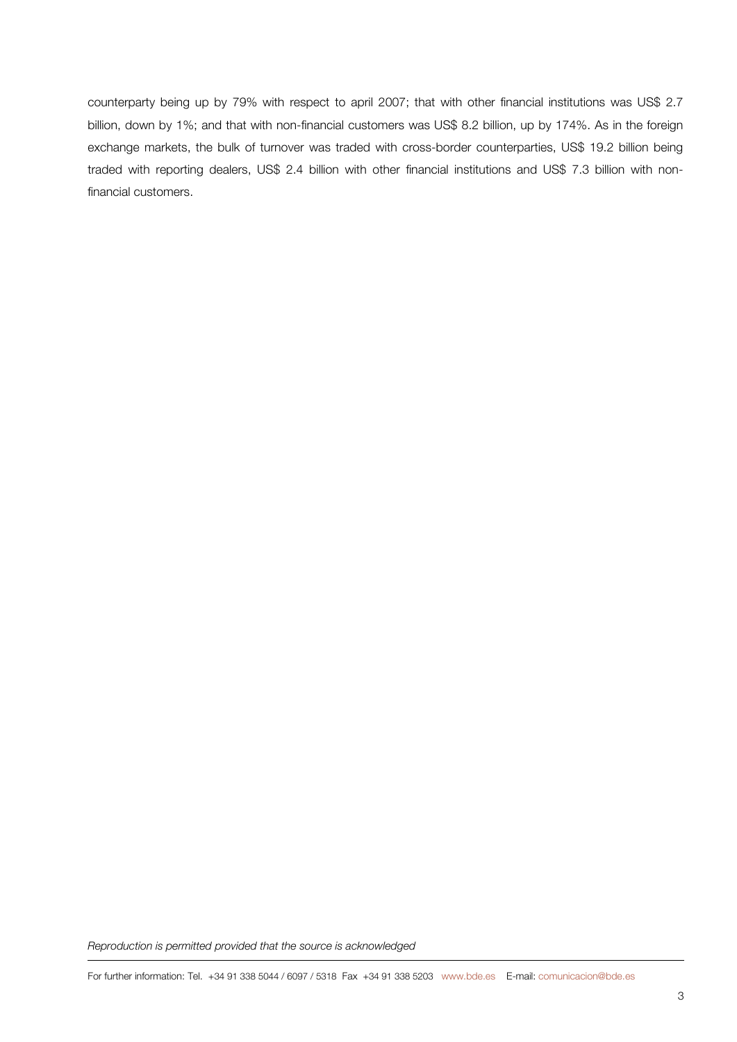counterparty being up by 79% with respect to april 2007; that with other financial institutions was US\$ 2.7 billion, down by 1%; and that with non-financial customers was US\$ 8.2 billion, up by 174%. As in the foreign exchange markets, the bulk of turnover was traded with cross-border counterparties, US\$ 19.2 billion being traded with reporting dealers, US\$ 2.4 billion with other financial institutions and US\$ 7.3 billion with nonfinancial customers.

*Reproduction is permitted provided that the source is acknowledged*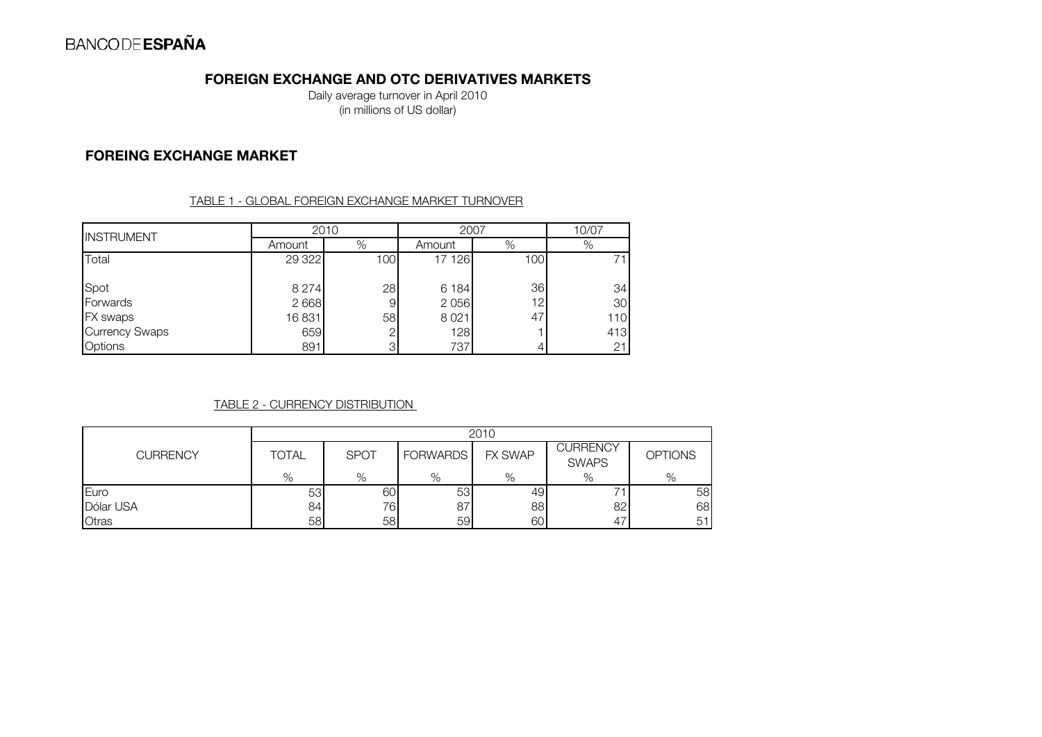# FOREIGN EXCHANGE AND OTC DERIVATIVES MARKETS

Daily average turnover in April 2010 (in millions of US dollar)

## FOREING EXCHANGE MARKET

TABLE 1 - GLOBAL FOREIGN EXCHANGE MARKET TURNOVER

| <b>INSTRUMENT</b>     |         | 2010           |         | 2007            |     |  |
|-----------------------|---------|----------------|---------|-----------------|-----|--|
|                       | Amount  | %              | Amount  | %               | %   |  |
| Total                 | 29 322  | 100            | 17 126  | 100             | 71  |  |
| Spot                  | 8 2 7 4 | 28             | 6 1 8 4 | 36              | 34  |  |
| Forwards              | 2 6 6 8 | 9              | 2 0 5 6 | 12 <sub>1</sub> | 30  |  |
| FX swaps              | 16831   | 58             | 8021    | 47              | 110 |  |
| <b>Currency Swaps</b> | 659     | $\overline{2}$ | 128     |                 | 413 |  |
| <b>Options</b>        | 891     | 3              | 737     |                 | 21  |  |

### TABLE 2 - CURRENCY DISTRIBUTION

|                 |              | 2010        |                 |                |                          |                |  |  |  |
|-----------------|--------------|-------------|-----------------|----------------|--------------------------|----------------|--|--|--|
| <b>CURRENCY</b> | <b>TOTAL</b> | <b>SPOT</b> | <b>FORWARDS</b> | <b>FX SWAP</b> | CURRENCY<br><b>SWAPS</b> | <b>OPTIONS</b> |  |  |  |
|                 | %            | %           | %               | $\%$           | %                        | %              |  |  |  |
| Euro            | 53           | 60          | 53              | 49             |                          | 58             |  |  |  |
| Dólar USA       | 84           | 76          | 87              | 88             | 82                       | 68             |  |  |  |
| Otras           | 58           | 58          | 59              | 60             | 47                       | 51             |  |  |  |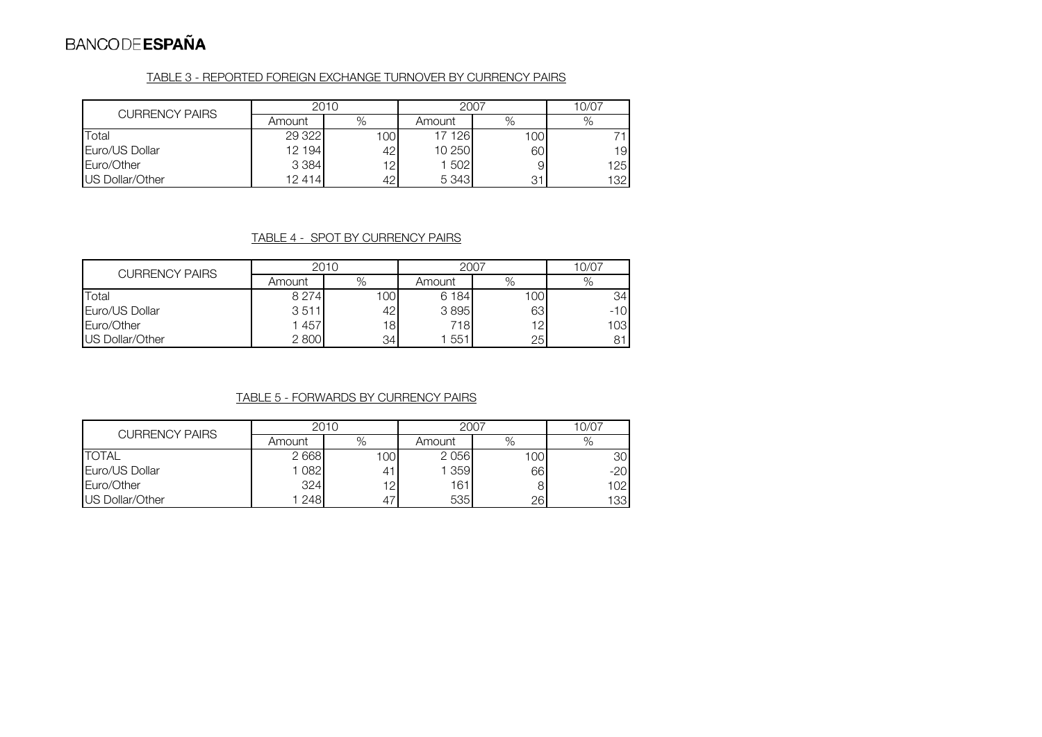#### TABLE 3 - REPORTED FOREIGN EXCHANGE TURNOVER BY CURRENCY PAIRS

| <b>CURRENCY PAIRS</b> | 2010    |      | 2007    | 10/07 |     |
|-----------------------|---------|------|---------|-------|-----|
|                       | Amount  | %    | Amount  | %     |     |
| Total                 | 29 3 22 | 1001 | 17 126  | 1001  |     |
| Euro/US Dollar        | 12 194  | 421  | 10 250  | 60    | 19  |
| Euro/Other            | 3 3 8 4 | 12   | 1 502   | 9     | 125 |
| US Dollar/Other       | 12 414  | 42.  | 5 3 4 3 | 31    | 132 |

### TABLE 4 - SPOT BY CURRENCY PAIRS

| <b>CURRENCY PAIRS</b> | 2010    |     | 2007    | 10/07 |                 |
|-----------------------|---------|-----|---------|-------|-----------------|
|                       | Amount  | %   | Amount  | %     | %               |
| Total                 | 8 2 7 4 | 100 | 6 1 8 4 | 100   | 34 <sub>1</sub> |
| Euro/US Dollar        | 3511    | 42  | 3895    | 63    | $-10$           |
| Euro/Other            | 1457    | 18  | 718     | 12    | 103             |
| US Dollar/Other       | 2800    | 34  | 551     | 25    | 81              |

## TABLE 5 - FORWARDS BY CURRENCY PAIRS

| <b>CURRENCY PAIRS</b> | 2010   |      | 2007   | 10/07            |       |
|-----------------------|--------|------|--------|------------------|-------|
|                       | Amount | %    | Amount | %                | $\%$  |
| <b>TOTAL</b>          | 2668   | 1001 | 2056   | 100 <sub>l</sub> | 30    |
| Euro/US Dollar        | 082    | 41   | 359    | 66               | $-20$ |
| Euro/Other            | 324    | 12   | 161    |                  | 102   |
| US Dollar/Other       | 248    | 47   | 535    | 26               | 133   |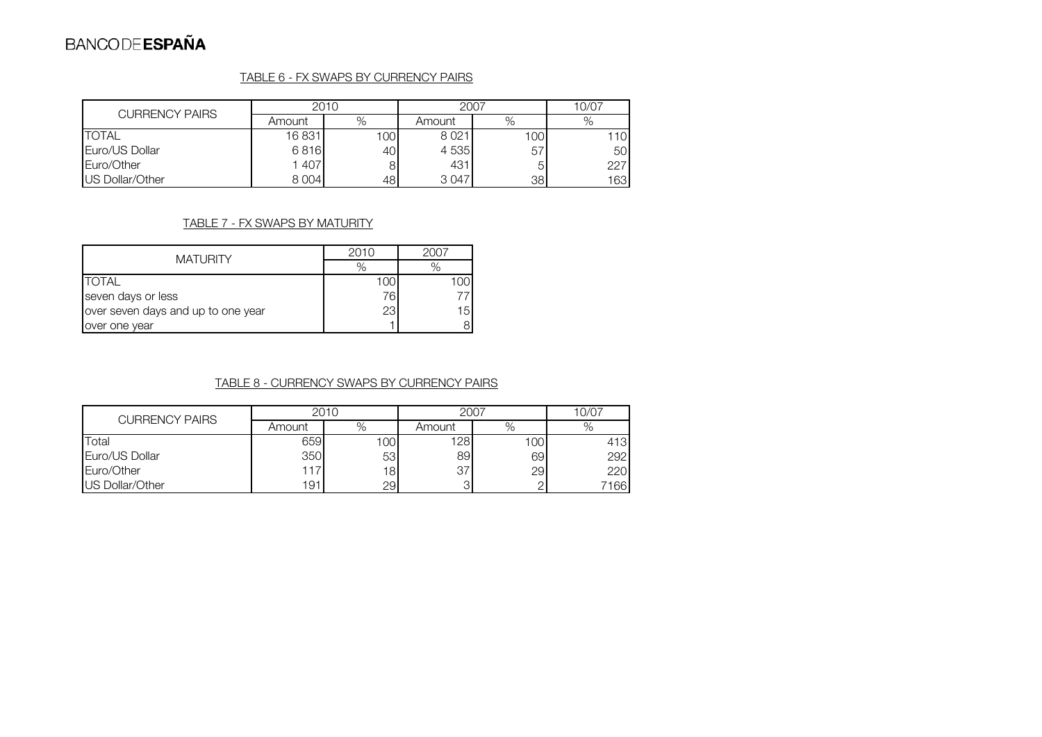#### TABLE 6 - FX SWAPS BY CURRENCY PAIRS

| <b>CURRENCY PAIRS</b> | 2010    |      | 2007   | 10/07 |      |
|-----------------------|---------|------|--------|-------|------|
|                       | Amount  | %    | Amount | %     | %    |
| <b>TOTAL</b>          | 16831   | 1001 | 8021   | 1001  | 110I |
| Euro/US Dollar        | 6816    | 40   | 4 535  | 57    | 50   |
| Euro/Other            | 1407    | 8    | 431    | 5     | 227  |
| US Dollar/Other       | 8 0 0 4 | 48   | 3047   | 38    | 163  |

### TABLE 7 - FX SWAPS BY MATURITY

| <b>MATURITY</b>                    | 2010 | 2007 |  |
|------------------------------------|------|------|--|
|                                    | $\%$ |      |  |
| <b>TOTAL</b>                       | 100  |      |  |
| seven days or less                 | 76   |      |  |
| over seven days and up to one year | 23   | 15   |  |
| over one year                      |      |      |  |

#### TABLE 8 - CURRENCY SWAPS BY CURRENCY PAIRS

| <b>CURRENCY PAIRS</b> | 2010   |                 | 2007   | 10/07 |      |
|-----------------------|--------|-----------------|--------|-------|------|
|                       | Amount | %               | Amount | %     | %    |
| Total                 | 659    | 1001            | 128    | 100   | 413  |
| Euro/US Dollar        | 350    | 53              | 89     | 69    | 292  |
| Euro/Other            | 117    | 18 <sup>1</sup> | 37     | 29    | 220  |
| US Dollar/Other       | 191    | 29              | 3      |       | 7166 |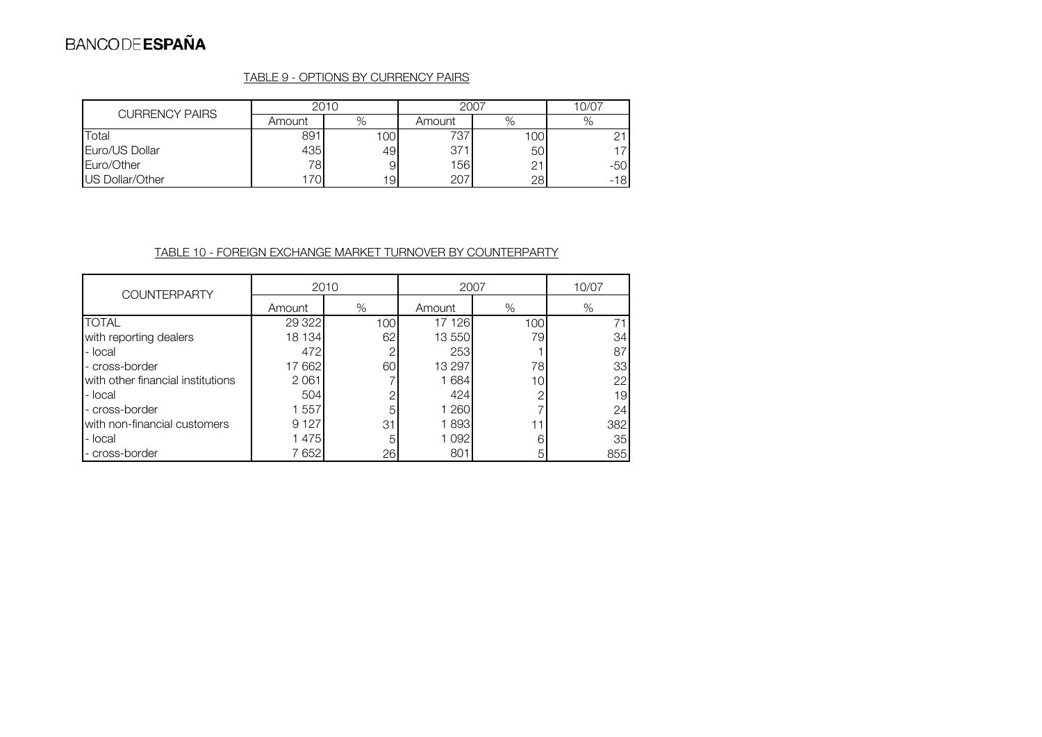## TABLE 9 - OPTIONS BY CURRENCY PAIRS

| <b>CURRENCY PAIRS</b> | 2010   |     | 2007   | 10/07 |       |
|-----------------------|--------|-----|--------|-------|-------|
|                       | Amount | %   | Amount | %     |       |
| Total                 | 891    | 100 | 737    | 100   | ∩⊣    |
| Euro/US Dollar        | 435    | 49  | 371    | 50    |       |
| Euro/Other            | 78     | 9   | 156    | 21    | -50   |
| US Dollar/Other       | 70     | 191 | 207    | 28    | $-18$ |

## TABLE 10 - FOREIGN EXCHANGE MARKET TURNOVER BY COUNTERPARTY

| <b>COUNTERPARTY</b>               | 2010    |     | 2007   | 10/07 |                 |
|-----------------------------------|---------|-----|--------|-------|-----------------|
|                                   | Amount  | %   | Amount | %     | %               |
| <b>TOTAL</b>                      | 29 3 22 | 100 | 17 126 | 100   | 71              |
| with reporting dealers            | 18 134  | 62  | 13 550 | 79    | 34              |
| - local                           | 472     | ⌒   | 253    |       | 87              |
| - cross-border                    | 17662   | 60  | 13 297 | 78    | 33              |
| with other financial institutions | 2061    |     | 1684   | 10    | 22              |
| - local                           | 504     | ⌒   | 424    | ◠     | 19              |
| - cross-border                    | 1 557   | 5   | 1 260  |       | 24              |
| with non-financial customers      | 9 1 2 7 | 31  | 1893   |       | 382             |
| - local                           | 1475    | 5   | 1092   | 6     | 35 <sup>1</sup> |
| - cross-border                    | 7652    | 26  | 801    | 5     | 855             |